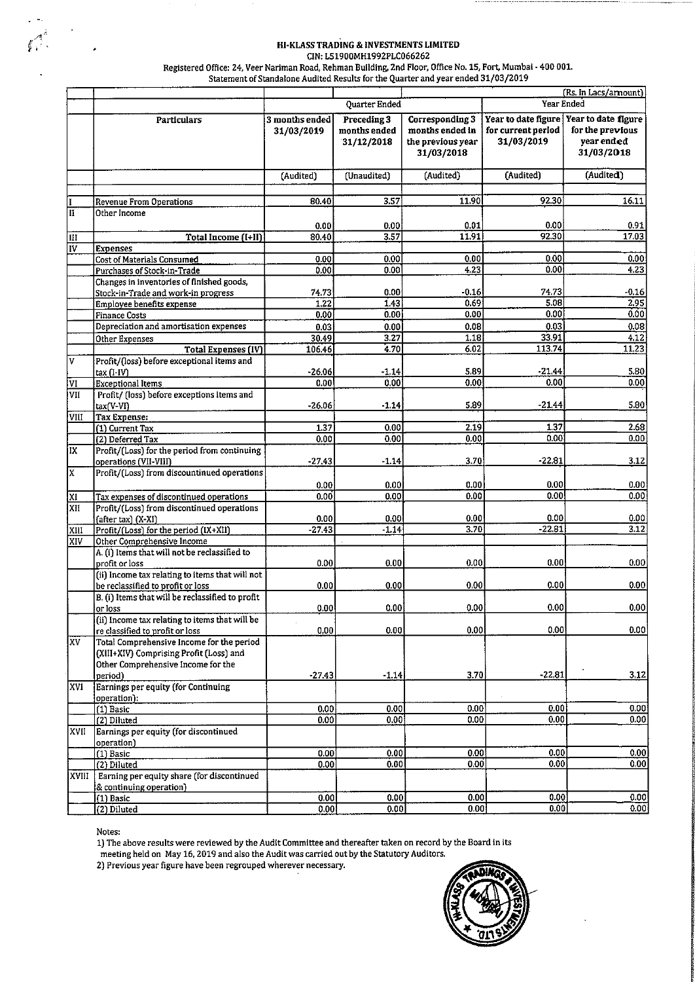#### HI-KLASS TRADING & INVESTMENTS LIMITED CIN: L51900MH1992PLC066262

Registered Office: 24, Veer Nariman Road, Rehman Building, 2nd Floor, Office No. 15, Fort, Mumbai - 400 001.<br>Statement of Standalone Audited Results for the Quarter and year ended 31/03/2019

|                           |                                                                                                                                       |                              |                                           |                                                                       |                                                         | (Rs. In Lacs/arnount)                                               |
|---------------------------|---------------------------------------------------------------------------------------------------------------------------------------|------------------------------|-------------------------------------------|-----------------------------------------------------------------------|---------------------------------------------------------|---------------------------------------------------------------------|
|                           |                                                                                                                                       |                              | Quarter Ended                             |                                                                       |                                                         | <b>Year Ended</b>                                                   |
|                           | <b>Particulars</b>                                                                                                                    | 3 months ended<br>31/03/2019 | Preceding 3<br>months ended<br>31/12/2018 | Corresponding 3<br>months ended in<br>the previous year<br>31/03/2018 | Year to date figure<br>for current period<br>31/03/2019 | Year to date figure<br>for the previous<br>year ended<br>31/03/2018 |
|                           |                                                                                                                                       | (Audited)                    | (Unaudited)                               | (Audited)                                                             | (Audited)                                               | (Audited)                                                           |
|                           |                                                                                                                                       |                              |                                           |                                                                       |                                                         |                                                                     |
|                           | Revenue From Operations                                                                                                               | 80.40                        | 3.57                                      | 11.90                                                                 | 92.30                                                   | 16.11                                                               |
| II                        | Other Income                                                                                                                          | 0.00                         | 0.00                                      | 0.01                                                                  | 0.00                                                    | 0.91                                                                |
| lIII                      | Total Income (I+II)                                                                                                                   | 80.40                        | 3.57                                      | 11.91                                                                 | 92.30                                                   | 17.03                                                               |
| $\overline{\overline{W}}$ | <b>Expenses</b>                                                                                                                       |                              |                                           |                                                                       |                                                         |                                                                     |
|                           | Cost of Materials Consumed                                                                                                            | 0.00                         | 0.00                                      | 0.00                                                                  | 0.00                                                    | 0.00                                                                |
|                           | Purchases of Stock-in-Trade                                                                                                           | 0.00                         | 0.00                                      | 4.23                                                                  | 0.00                                                    | 4.23                                                                |
|                           | Changes in inventories of finished goods,<br>Stock-in-Trade and work-in progress                                                      | 74.73                        | 0.00 <sub>1</sub>                         | -0.16                                                                 | 74.73                                                   | -0.16                                                               |
|                           | Employee benefits expense                                                                                                             | 1.22                         | 1.43                                      | 0.69                                                                  | 5.08                                                    | 2.95                                                                |
|                           | <b>Finance Costs</b>                                                                                                                  | 0.00                         | 0.00                                      | 0.00                                                                  | 0.00                                                    | 0.00                                                                |
|                           | Depreciation and amortisation expenses                                                                                                | 0.03                         | 0.00                                      | 0.08                                                                  | 0.03                                                    | 0.08                                                                |
|                           | Other Expenses<br>Total Expenses (IV)                                                                                                 | 30.49<br>106.46              | 3.27<br>4.70                              | 1.18<br>6.02                                                          | 33.91<br>113.74                                         | 4.12<br>11.23                                                       |
| ٧                         | Profit/(loss) before exceptional items and                                                                                            |                              |                                           | 5.89                                                                  | -21.44                                                  | 5.80                                                                |
| ΙVΙ                       | tax (I-IV)<br><b>Exceptional Items</b>                                                                                                | $-26.06$<br>0.00             | $-1.14$<br>0.00                           | 0.00                                                                  | 0.00                                                    | 0.00                                                                |
| VII                       | Profit/ (loss) before exceptions items and<br>$tax(V-VI)$                                                                             | $-26.06$                     | $-1.14$                                   | 5.89                                                                  | $-21.44$                                                | 5.80                                                                |
| VIII                      | <b>Tax Expense:</b>                                                                                                                   |                              |                                           |                                                                       |                                                         |                                                                     |
|                           | (1) Current Tax                                                                                                                       | 1.37                         | 0.00                                      | 2.19                                                                  | 1.37                                                    | 2.68                                                                |
|                           | (2) Deferred Tax                                                                                                                      | 0.00                         | 0.00                                      | 0.00                                                                  | 0.00                                                    | 0.00                                                                |
| IX                        | Profit/(Loss) for the period from continuing<br>operations (VII-VIII)                                                                 | $-27.43$                     | $-1.14$                                   | 3.70                                                                  | -22.81                                                  | 3.12                                                                |
| X                         | Profit/(Loss) from discountinued operations                                                                                           | 0.00                         | 0.00                                      | 0.00                                                                  | 0.00                                                    | 0.00                                                                |
| $\overline{\mathtt{x}}$   | Tax expenses of discontinued operations                                                                                               | 0.00                         | 0.00                                      | 0.00                                                                  | 0.00                                                    | 0.00                                                                |
| XII                       | Profit/(Loss) from discontinued operations                                                                                            |                              |                                           |                                                                       |                                                         |                                                                     |
|                           | (after tax) (X-XI)                                                                                                                    | 0.00                         | 0.00                                      | 0.00                                                                  | 0.00                                                    | 0.00                                                                |
| XIII                      | Profit/(Loss) for the period (IX+XII)<br>Other Comprehensive Income                                                                   | $-27.43$                     | $-1.14$                                   | 3.70                                                                  | $-22.81$                                                | 3.12                                                                |
| XIV                       | A. (i) Items that will not be reclassified to<br>profit or loss                                                                       | 0.00                         | 0.00                                      | 0.00                                                                  | 0.00                                                    | 0.00                                                                |
|                           | (ii) Income tax relating to items that will not                                                                                       |                              |                                           |                                                                       |                                                         |                                                                     |
|                           | be reclassified to profit or loss<br>B. (i) Items that will be reclassified to profit                                                 | 0.00                         | 0.00                                      | 0.00                                                                  | 0.00                                                    | 0.00                                                                |
|                           | or loss                                                                                                                               | <b>0.00</b>                  | 0.00                                      | 0.00                                                                  | 0.00                                                    | 0.00                                                                |
|                           | (ii) Income tax relating to items that will be<br>re classified to profit or loss                                                     | 0.00                         | 0.00                                      | 0.00                                                                  | 0.00                                                    | 0.00                                                                |
| lxv.                      | Total Comprehensive Income for the period<br>(XIII+XIV) Comprising Profit (Loss) and<br>Other Comprehensive Income for the<br>period) | $-27.43$                     | $-1.14$                                   | 3.70                                                                  | $-22.81$                                                | 3.12                                                                |
| XVI                       | Earnings per equity (for Continuing<br>operation):                                                                                    |                              |                                           |                                                                       |                                                         |                                                                     |
|                           | $(1)$ Basic                                                                                                                           | 0.00                         | 0.00                                      | 0.00                                                                  | 0.00                                                    | 0.00                                                                |
|                           | (2) Diluted                                                                                                                           | 0.00                         | 0.00                                      | 0.00                                                                  | 0.00                                                    | 0.00                                                                |
| <b>XVII</b>               | Earnings per equity (for discontinued<br>operation)                                                                                   |                              |                                           |                                                                       |                                                         |                                                                     |
|                           | (1) Basic                                                                                                                             | 0.00                         | 0.00                                      | 0.00                                                                  | 0.00                                                    | 0.00                                                                |
|                           | (2) Diluted                                                                                                                           | 0.00                         | 0.00                                      | 0.00                                                                  | 0.00                                                    | 0.00                                                                |
| XVIII                     | Earning per equity share (for discontinued<br>& continuing operation)                                                                 |                              |                                           |                                                                       |                                                         |                                                                     |
|                           | (1) Basic                                                                                                                             | 0.00                         | 0.00                                      | 0.00                                                                  | 0.00                                                    | 0.00                                                                |
|                           | (2) Diluted                                                                                                                           | 0.00                         | 0.00                                      | 0.00                                                                  | 0.00                                                    | 0.00                                                                |

Notes:

1) The above results were reviewed by the Audit Committee and thereafter taken on record by the Board in its<br>meeting held on May 16, 2019 and also the Audit was carried out by the Statutory Auditors.

2) Previous year figure have been regrouped wherever necessary.

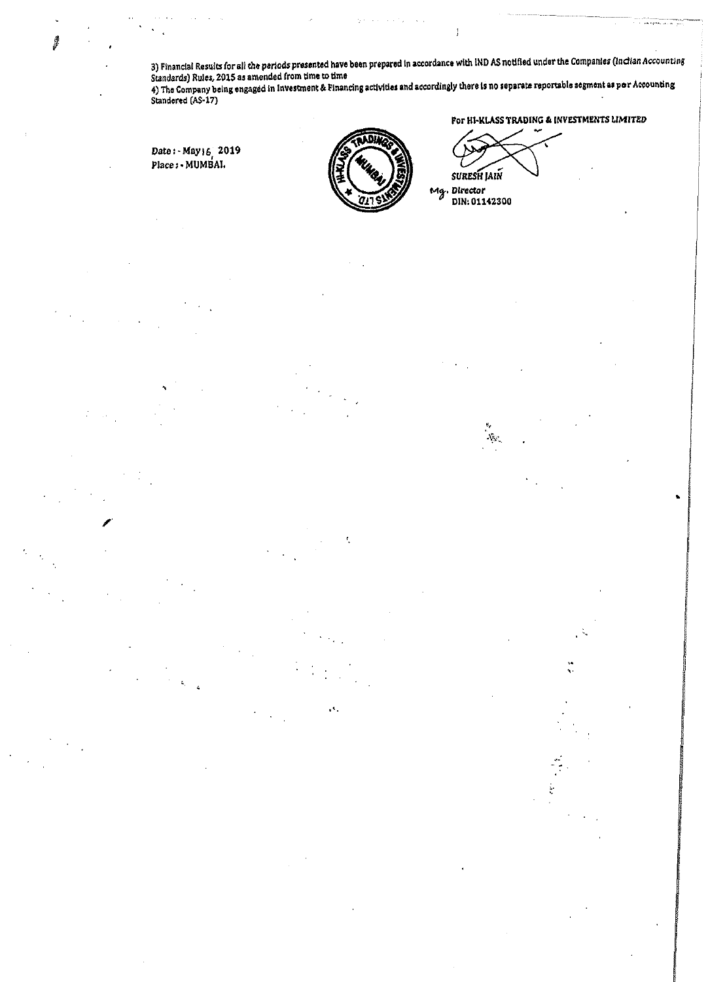3) Financial Results for all the periods presented have been prepared in accordance with IND AS notified under the Companies (inclian Accounting Standards) Rules, 2015 as amended from time to time

4) The Company being engaged in Investment & Financing activities and accordingly there is no separate reportable segment as per Accounting<br>Standered (AS-17)

Date: May 16 2019 Place: - MUMBAI.



е¢,

For HI-KLASS TRADING & INVESTMENTS LIMITED

**SURESH JAIN** Mg. Director DIN: 01142300

 $\Lambda_{\rm{NL}}$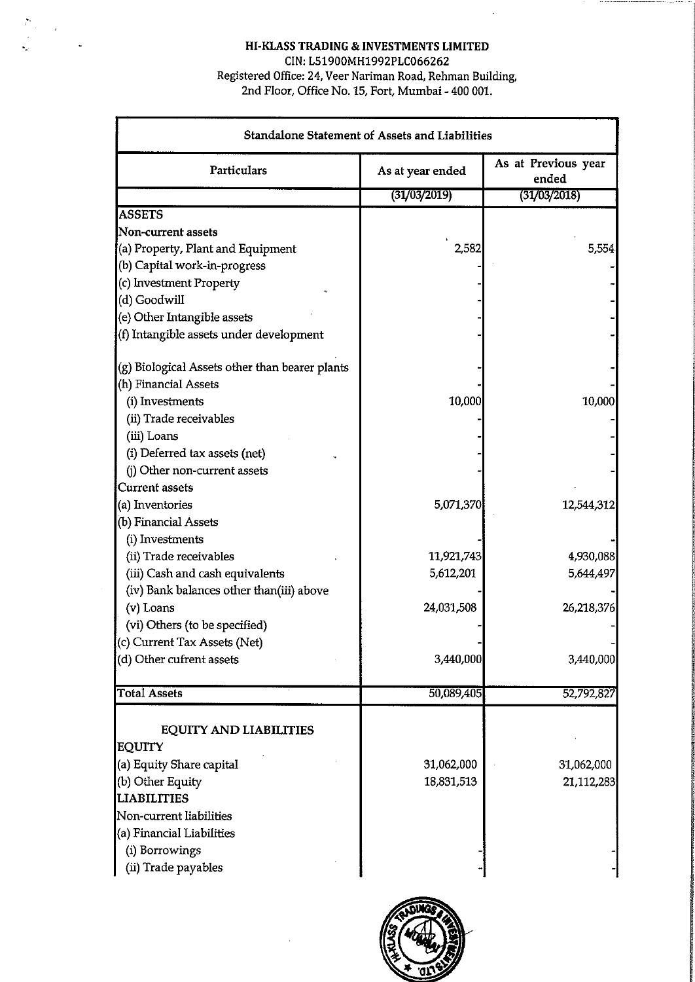### **HI-KLASS TRADING** & **INVESTMENTS LIMITED**

CIN: L51900MH1992PLC066262 Registered Office: 24, Veer Nariman Road, Rehman Building, 2nd Floor, Office No. 15, Fort, Mumbai - 400 001.

| Standalone Statement of Assets and Liabilities |                  |                              |  |  |  |
|------------------------------------------------|------------------|------------------------------|--|--|--|
| Particulars                                    | As at year ended | As at Previous year<br>ended |  |  |  |
|                                                | (31/03/2019)     | (31/03/2018)                 |  |  |  |
| <b>ASSETS</b>                                  |                  |                              |  |  |  |
| <b>Non-current assets</b>                      |                  |                              |  |  |  |
| (a) Property, Plant and Equipment              | 2,582            | 5,554                        |  |  |  |
| (b) Capital work-in-progress                   |                  |                              |  |  |  |
| (c) Investment Property                        |                  |                              |  |  |  |
| (d) Goodwill                                   |                  |                              |  |  |  |
| (e) Other Intangible assets                    |                  |                              |  |  |  |
| (f) Intangible assets under development        |                  |                              |  |  |  |
| (g) Biological Assets other than bearer plants |                  |                              |  |  |  |
| (h) Financial Assets                           |                  |                              |  |  |  |
| (i) Investments                                | 10,000           | 10,000                       |  |  |  |
| (ii) Trade receivables                         |                  |                              |  |  |  |
| (iii) Loans                                    |                  |                              |  |  |  |
| (i) Deferred tax assets (net)                  |                  |                              |  |  |  |
| (j) Other non-current assets                   |                  |                              |  |  |  |
| <b>Current assets</b>                          |                  |                              |  |  |  |
| (a) Inventories                                | 5,071,370        | 12,544,312                   |  |  |  |
| (b) Financial Assets                           |                  |                              |  |  |  |
| (i) Investments                                |                  |                              |  |  |  |
| (ii) Trade receivables                         | 11,921,743       | 4,930,088                    |  |  |  |
| (iii) Cash and cash equivalents                | 5,612,201        | 5,644,497                    |  |  |  |
| (iv) Bank balances other than(iii) above       |                  |                              |  |  |  |
| $(v)$ Loans                                    | 24,031,508       | 26,218,376                   |  |  |  |
| (vi) Others (to be specified)                  |                  |                              |  |  |  |
| (c) Current Tax Assets (Net)                   |                  |                              |  |  |  |
| (d) Other cufrent assets                       | 3,440,000        | 3,440,000                    |  |  |  |
| <b>Total Assets</b>                            | 50,089,405       | 52,792,827                   |  |  |  |
| <b>EQUITY AND LIABILITIES</b>                  |                  |                              |  |  |  |
| <b>EQUITY</b>                                  |                  |                              |  |  |  |
| (a) Equity Share capital                       | 31,062,000       | 31,062,000                   |  |  |  |
| (b) Other Equity                               | 18,831,513       | 21,112,283                   |  |  |  |
| <b>LIABILITIES</b>                             |                  |                              |  |  |  |
| Non-current liabilities                        |                  |                              |  |  |  |
| (a) Financial Liabilities                      |                  |                              |  |  |  |
| (i) Borrowings                                 |                  |                              |  |  |  |
| (ii) Trade payables                            |                  |                              |  |  |  |
|                                                |                  |                              |  |  |  |

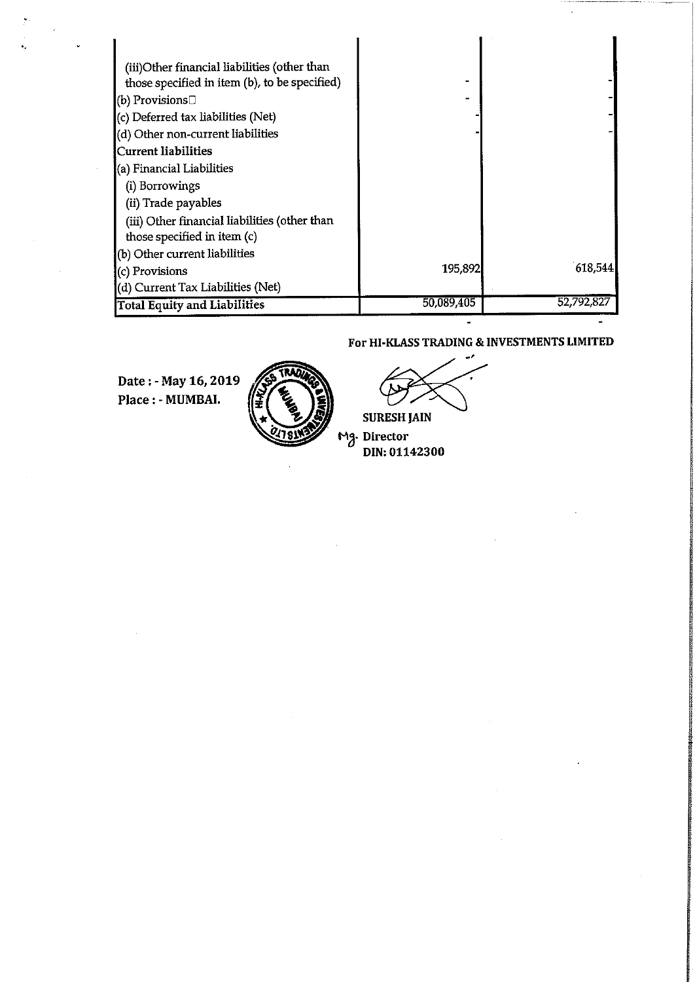| (iii)Other financial liabilities (other than  |            |            |
|-----------------------------------------------|------------|------------|
| those specified in item (b), to be specified) |            |            |
| (b) Provisions $\Box$                         |            |            |
| (c) Deferred tax liabilities (Net)            |            |            |
| (d) Other non-current liabilities             |            |            |
| <b>Current liabilities</b>                    |            |            |
| (a) Financial Liabilities                     |            |            |
| (i) Borrowings                                |            |            |
| (ii) Trade payables                           |            |            |
| (iii) Other financial liabilities (other than |            |            |
| those specified in item (c)                   |            |            |
| (b) Other current liabilities                 |            |            |
| (c) Provisions                                | 195,892    | 618,544    |
| (d) Current Tax Liabilities (Net)             |            |            |
| <b>Total Equity and Liabilities</b>           | 50,089,405 | 52,792,827 |

#### For **HI-KLASS TRADING** & **INVESTMENTS LIMITED**

**Date :-May 16,2019 Place** : - **MUMBAI.** 



**SURESH JAIN** 

**Mg. Director**<br>DIN: 01142300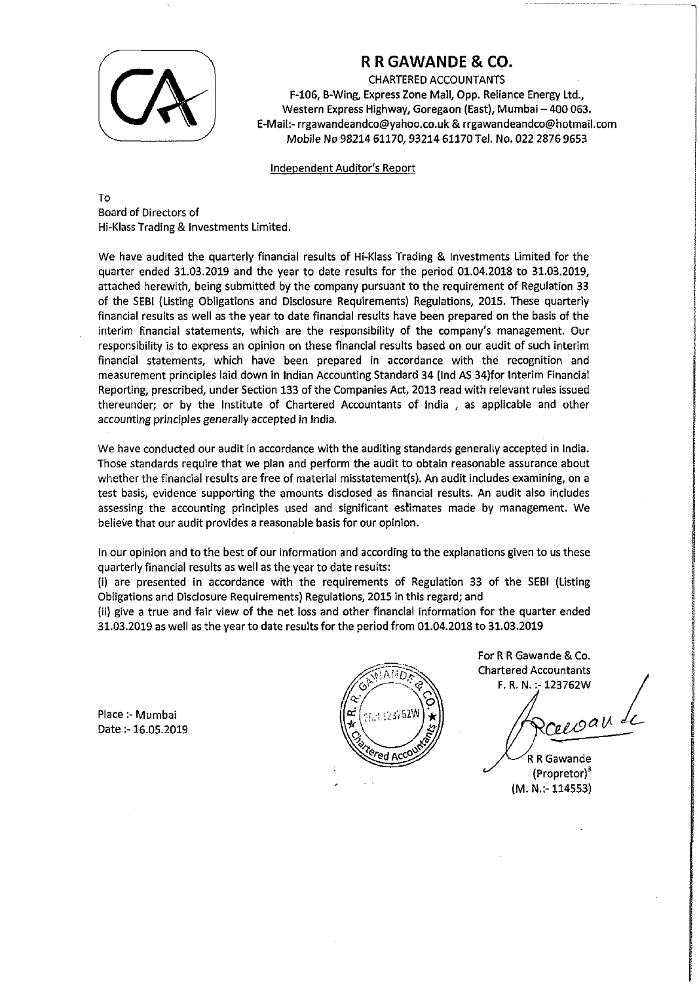

## **R R GAWANDE** & **CO.**

CHARTERED ACCOUNTANTS

F-106, B-Wing, Express Zone Mall, Opp. Reliance Energy Ltd., Western Express Highway, Goregaon (East), Mumbai - 400 063. €-Mail:- rrgawandeandco@yahoo.co.uk & rrgawandeandco@hotmail.com Mobile No 98214 61170,93214 61170 Tel. No. 022 2876 9653

Independent Auditor's Report

TO Board of Directors of Hi-Klass Trading & Investments Limited,

We have audited the quarterly financial results of Hi-Klass Trading & Investments Limited for the quarter ended 31.03.2019 and the year to date results for the period 01.04.2018 to 31.03.2019, attached herewith, being submitted by the company pursuant to the requirement of Regulation 33 of the SEBl (Listing Obligations and Disclosure Requirements) Regulations, 2015. These quarterly financial results as well as the year to date financial results have been prepared on the basis of the interim financial statements, which are the responsibility of the company's management. Our responsibility is to express an opinion on these financial results based on our audit of such interim financial statements, which have been prepared in accordance with the recognition and measurement principles laid down in Indian Accounting Standard 34 (Ind AS 34)for Interim Financial Reporting, prescribed, under Section 133 of the Companies Act, 2013 read with relevant rules issued thereunder; or by the Institute of Chartered Accountants of lndia , as applicable and other accounting principles generally accepted in lndia.

We have conducted our audit in accordance with the auditing standards generally accepted in lndia. Those standards require that we plan and perform the audit to obtain reasonable assurance about whether the financial results are free of material misstaternent(s). An audit includes examining, on a test basis, evidence supporting the amounts disclosed as financial results. An audit also includes assessing the accounting principles used and significant estimates made by management. We believe that our audit provides a reasonable basis for our opinion.

In our opinion and to the best of our information and according to the explanations given to us these quarterly financial results as well as the year to date results:

(i) are presented in accordance with the requirements of Regulation 33 of the SEBl (Listing Obligations and Disclosure Requirements) Regulations, 2015 in this regard; and

(ii) give a true and fair view of the net loss and other financial information for the quarter ended 31.03.2019 as well as the year to date results for the period from 01.04.2018 to 31.03.2019

Place :- Mumbai Date :- 16.05.2019



For R R Gawande & Co. Chartered Accountants F. R. N. :- 123762W

cecoau

R R Gawande (propretor)' (M. **N.:-** 114553)